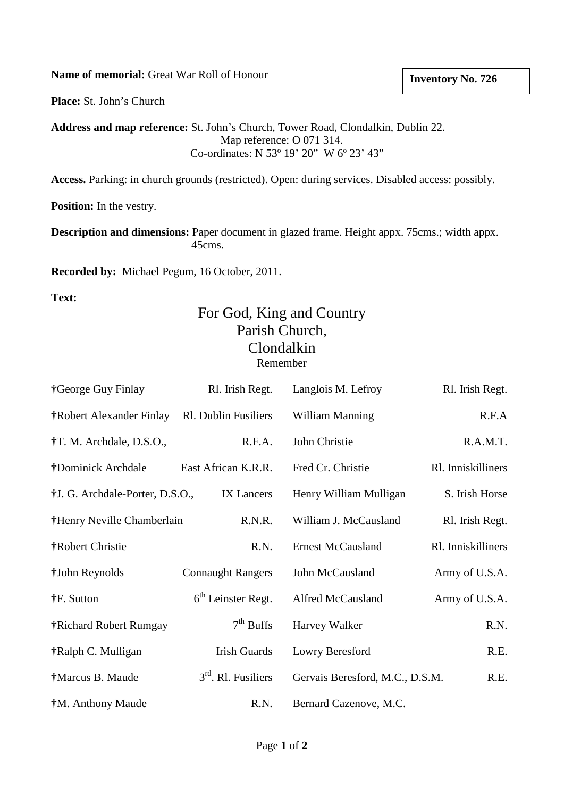**Name of memorial:** Great War Roll of Honour

**Inventory No. 726**

**Place:** St. John's Church

**Address and map reference:** St. John's Church, Tower Road, Clondalkin, Dublin 22. Map reference: O 071 314. Co-ordinates: N 53º 19' 20" W 6º 23' 43"

**Access.** Parking: in church grounds (restricted). Open: during services. Disabled access: possibly.

**Position:** In the vestry.

**Description and dimensions:** Paper document in glazed frame. Height appx. 75cms.; width appx. 45cms.

**Recorded by:** Michael Pegum, 16 October, 2011.

**Text:**

## For God, King and Country Parish Church, Clondalkin Remember

| †George Guy Finlay              | Rl. Irish Regt.          | Langlois M. Lefroy              | Rl. Irish Regt.    |
|---------------------------------|--------------------------|---------------------------------|--------------------|
| †Robert Alexander Finlay        | Rl. Dublin Fusiliers     | <b>William Manning</b>          | R.F.A              |
| †T. M. Archdale, D.S.O.,        | R.F.A.                   | John Christie                   | R.A.M.T.           |
| †Dominick Archdale              | East African K.R.R.      | Fred Cr. Christie               | Rl. Inniskilliners |
| †J. G. Archdale-Porter, D.S.O., | IX Lancers               | Henry William Mulligan          | S. Irish Horse     |
| †Henry Neville Chamberlain      | R.N.R.                   | William J. McCausland           | Rl. Irish Regt.    |
| †Robert Christie                | R.N.                     | <b>Ernest McCausland</b>        | Rl. Inniskilliners |
| †John Reynolds                  | <b>Connaught Rangers</b> | John McCausland                 | Army of U.S.A.     |
| †F. Sutton                      | $6th$ Leinster Regt.     | Alfred McCausland               | Army of U.S.A.     |
| †Richard Robert Rumgay          | $7th$ Buffs              | Harvey Walker                   | R.N.               |
| †Ralph C. Mulligan              | <b>Irish Guards</b>      | Lowry Beresford                 | R.E.               |
| †Marcus B. Maude                | $3rd$ . Rl. Fusiliers    | Gervais Beresford, M.C., D.S.M. | R.E.               |
| †M. Anthony Maude               | R.N.                     | Bernard Cazenove, M.C.          |                    |